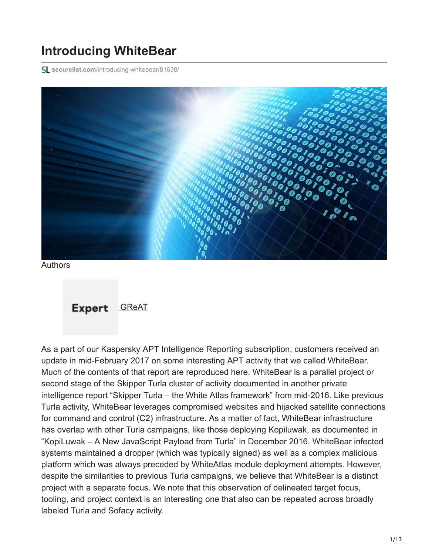# **Introducing WhiteBear**

**securelist.com**[/introducing-whitebear/81638/](https://securelist.com/introducing-whitebear/81638/)



Authors

Expert [GReAT](https://securelist.com/author/great/)

As a part of our Kaspersky APT Intelligence Reporting subscription, customers received an update in mid-February 2017 on some interesting APT activity that we called WhiteBear. Much of the contents of that report are reproduced here. WhiteBear is a parallel project or second stage of the Skipper Turla cluster of activity documented in another private intelligence report "Skipper Turla – the White Atlas framework" from mid-2016. Like previous Turla activity, WhiteBear leverages compromised websites and hijacked satellite connections for command and control (C2) infrastructure. As a matter of fact, WhiteBear infrastructure has overlap with other Turla campaigns, like those deploying Kopiluwak, as documented in "KopiLuwak – A New JavaScript Payload from Turla" in December 2016. WhiteBear infected systems maintained a dropper (which was typically signed) as well as a complex malicious platform which was always preceded by WhiteAtlas module deployment attempts. However, despite the similarities to previous Turla campaigns, we believe that WhiteBear is a distinct project with a separate focus. We note that this observation of delineated target focus, tooling, and project context is an interesting one that also can be repeated across broadly labeled Turla and Sofacy activity.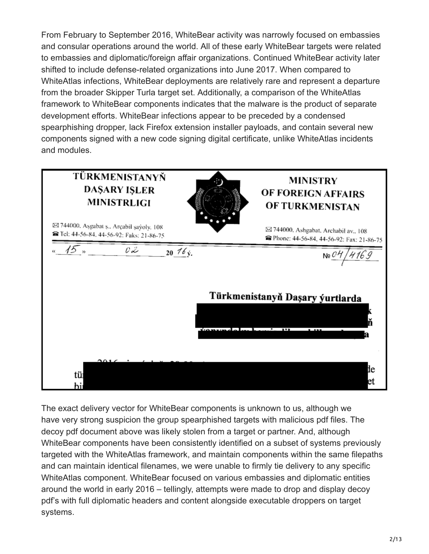From February to September 2016, WhiteBear activity was narrowly focused on embassies and consular operations around the world. All of these early WhiteBear targets were related to embassies and diplomatic/foreign affair organizations. Continued WhiteBear activity later shifted to include defense-related organizations into June 2017. When compared to WhiteAtlas infections, WhiteBear deployments are relatively rare and represent a departure from the broader Skipper Turla target set. Additionally, a comparison of the WhiteAtlas framework to WhiteBear components indicates that the malware is the product of separate development efforts. WhiteBear infections appear to be preceded by a condensed spearphishing dropper, lack Firefox extension installer payloads, and contain several new components signed with a new code signing digital certificate, unlike WhiteAtlas incidents and modules.

| TÜRKMENISTANYŇ<br><b>DAŞARY IŞLER</b><br><b>MINISTRLIGI</b>                            | <b>MINISTRY</b><br>OF FOREIGN AFFAIRS<br>OF TURKMENISTAN                                       |
|----------------------------------------------------------------------------------------|------------------------------------------------------------------------------------------------|
| ⊠ 744000. Aşgabat ş., Arçabil şayoly, 108<br>a Tel: 44-56-84, 44-56-92; Faks: 21-86-75 | ⊠ 744000. Ashgabat, Archabil av., 108<br><sup>3</sup> Phone: 44-56-84, 44-56-92: Fax: 21-86-75 |
| c 2<br>15 »<br>20 $16y$ .                                                              | 4169<br>Ne <sup>C</sup>                                                                        |
|                                                                                        | Türkmenistanyň Daşary ýurtlarda                                                                |
|                                                                                        | $-1$ . $-1$<br>$\mathbf{P}$<br>$\mathbf{r}$ za merena<br>1.433                                 |
| $\mathbf{a}$<br>tüı<br>hii                                                             | 1e<br>et                                                                                       |

The exact delivery vector for WhiteBear components is unknown to us, although we have very strong suspicion the group spearphished targets with malicious pdf files. The decoy pdf document above was likely stolen from a target or partner. And, although WhiteBear components have been consistently identified on a subset of systems previously targeted with the WhiteAtlas framework, and maintain components within the same filepaths and can maintain identical filenames, we were unable to firmly tie delivery to any specific WhiteAtlas component. WhiteBear focused on various embassies and diplomatic entities around the world in early 2016 – tellingly, attempts were made to drop and display decoy pdf's with full diplomatic headers and content alongside executable droppers on target systems.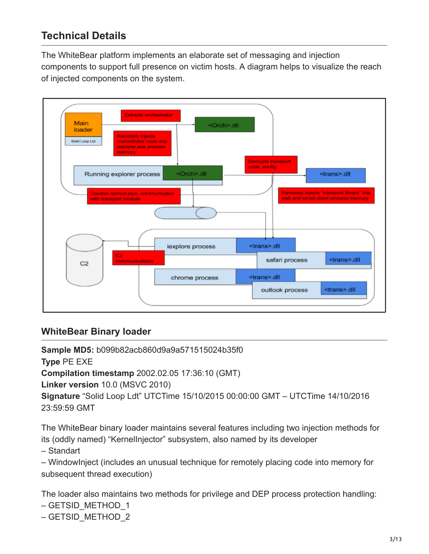# **Technical Details**

The WhiteBear platform implements an elaborate set of messaging and injection components to support full presence on victim hosts. A diagram helps to visualize the reach of injected components on the system.



#### **WhiteBear Binary loader**

**Sample MD5:** b099b82acb860d9a9a571515024b35f0 **Type** PE EXE **Compilation timestamp** 2002.02.05 17:36:10 (GMT) **Linker version** 10.0 (MSVC 2010) **Signature** "Solid Loop Ldt" UTCTime 15/10/2015 00:00:00 GMT – UTCTime 14/10/2016 23:59:59 GMT

The WhiteBear binary loader maintains several features including two injection methods for its (oddly named) "KernelInjector" subsystem, also named by its developer

– Standart

– WindowInject (includes an unusual technique for remotely placing code into memory for subsequent thread execution)

The loader also maintains two methods for privilege and DEP process protection handling:

– GETSID\_METHOD\_1

```
– GETSID_METHOD_2
```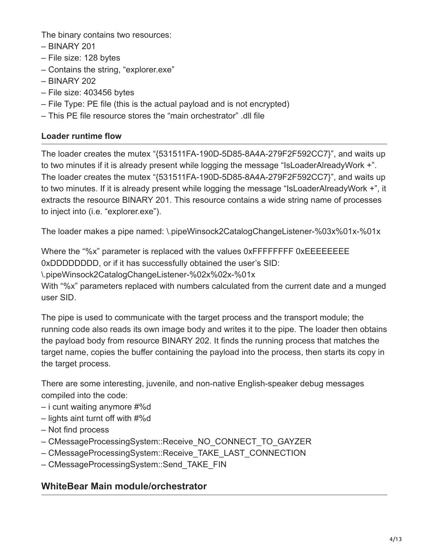The binary contains two resources:

- BINARY 201
- File size: 128 bytes
- Contains the string, "explorer.exe"
- BINARY 202
- File size: 403456 bytes
- File Type: PE file (this is the actual payload and is not encrypted)
- This PE file resource stores the "main orchestrator" .dll file

#### **Loader runtime flow**

The loader creates the mutex "{531511FA-190D-5D85-8A4A-279F2F592CC7}", and waits up to two minutes if it is already present while logging the message "IsLoaderAlreadyWork +". The loader creates the mutex "{531511FA-190D-5D85-8A4A-279F2F592CC7}", and waits up to two minutes. If it is already present while logging the message "IsLoaderAlreadyWork +", it extracts the resource BINARY 201. This resource contains a wide string name of processes to inject into (i.e. "explorer.exe").

The loader makes a pipe named: \.pipeWinsock2CatalogChangeListener-%03x%01x-%01x

Where the "%x" parameter is replaced with the values 0xFFFFFFFF 0xEEEEEEEEE 0xDDDDDDDD, or if it has successfully obtained the user's SID: \.pipeWinsock2CatalogChangeListener-%02x%02x-%01x With "%x" parameters replaced with numbers calculated from the current date and a munged user SID.

The pipe is used to communicate with the target process and the transport module; the running code also reads its own image body and writes it to the pipe. The loader then obtains the payload body from resource BINARY 202. It finds the running process that matches the target name, copies the buffer containing the payload into the process, then starts its copy in the target process.

There are some interesting, juvenile, and non-native English-speaker debug messages compiled into the code:

- i cunt waiting anymore #%d
- lights aint turnt off with #%d
- Not find process
- CMessageProcessingSystem::Receive\_NO\_CONNECT\_TO\_GAYZER
- CMessageProcessingSystem::Receive\_TAKE\_LAST\_CONNECTION
- CMessageProcessingSystem::Send\_TAKE\_FIN

### **WhiteBear Main module/orchestrator**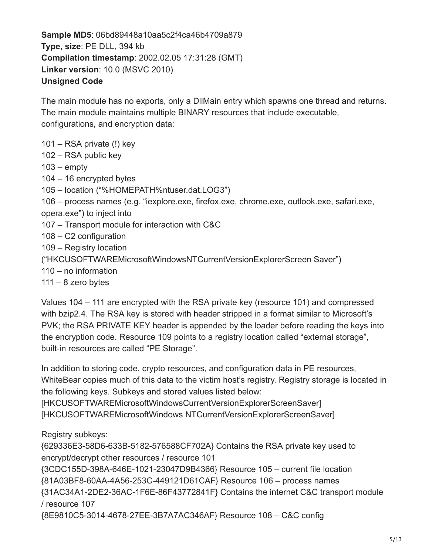**Sample MD5**: 06bd89448a10aa5c2f4ca46b4709a879 **Type, size**: PE DLL, 394 kb **Compilation timestamp**: 2002.02.05 17:31:28 (GMT) **Linker version**: 10.0 (MSVC 2010) **Unsigned Code**

The main module has no exports, only a DllMain entry which spawns one thread and returns. The main module maintains multiple BINARY resources that include executable, configurations, and encryption data:

101 – RSA private (!) key

102 – RSA public key

 $103$  – empty

104 – 16 encrypted bytes

105 – location ("%HOMEPATH%ntuser.dat.LOG3")

106 – process names (e.g. "iexplore.exe, firefox.exe, chrome.exe, outlook.exe, safari.exe, opera.exe") to inject into

107 – Transport module for interaction with C&C

108 – C2 configuration

109 – Registry location

("HKCUSOFTWAREMicrosoftWindowsNTCurrentVersionExplorerScreen Saver")

110 – no information

 $111 - 8$  zero bytes

Values 104 – 111 are encrypted with the RSA private key (resource 101) and compressed with bzip2.4. The RSA key is stored with header stripped in a format similar to Microsoft's PVK; the RSA PRIVATE KEY header is appended by the loader before reading the keys into the encryption code. Resource 109 points to a registry location called "external storage", built-in resources are called "PE Storage".

In addition to storing code, crypto resources, and configuration data in PE resources, WhiteBear copies much of this data to the victim host's registry. Registry storage is located in the following keys. Subkeys and stored values listed below:

[HKCUSOFTWAREMicrosoftWindowsCurrentVersionExplorerScreenSaver] [HKCUSOFTWAREMicrosoftWindows NTCurrentVersionExplorerScreenSaver]

Registry subkeys:

{629336E3-58D6-633B-5182-576588CF702A} Contains the RSA private key used to encrypt/decrypt other resources / resource 101 {3CDC155D-398A-646E-1021-23047D9B4366} Resource 105 – current file location

{81A03BF8-60AA-4A56-253C-449121D61CAF} Resource 106 – process names

{31AC34A1-2DE2-36AC-1F6E-86F43772841F} Contains the internet C&C transport module / resource 107

{8E9810C5-3014-4678-27EE-3B7A7AC346AF} Resource 108 – C&C config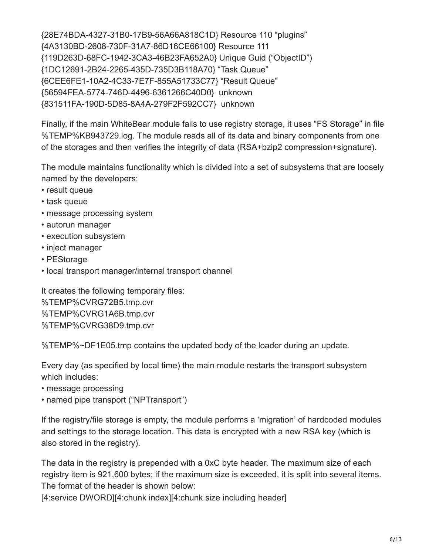{28E74BDA-4327-31B0-17B9-56A66A818C1D} Resource 110 "plugins" {4A3130BD-2608-730F-31A7-86D16CE66100} Resource 111 {119D263D-68FC-1942-3CA3-46B23FA652A0} Unique Guid ("ObjectID") {1DC12691-2B24-2265-435D-735D3B118A70} "Task Queue" {6CEE6FE1-10A2-4C33-7E7F-855A51733C77} "Result Queue" {56594FEA-5774-746D-4496-6361266C40D0} unknown {831511FA-190D-5D85-8A4A-279F2F592CC7} unknown

Finally, if the main WhiteBear module fails to use registry storage, it uses "FS Storage" in file %TEMP%KB943729.log. The module reads all of its data and binary components from one of the storages and then verifies the integrity of data (RSA+bzip2 compression+signature).

The module maintains functionality which is divided into a set of subsystems that are loosely named by the developers:

- result queue
- task queue
- message processing system
- autorun manager
- execution subsystem
- inject manager
- PEStorage
- local transport manager/internal transport channel

It creates the following temporary files: %TEMP%CVRG72B5.tmp.cvr %TEMP%CVRG1A6B.tmp.cvr %TEMP%CVRG38D9.tmp.cvr

%TEMP%~DF1E05.tmp contains the updated body of the loader during an update.

Every day (as specified by local time) the main module restarts the transport subsystem which includes:

- message processing
- named pipe transport ("NPTransport")

If the registry/file storage is empty, the module performs a 'migration' of hardcoded modules and settings to the storage location. This data is encrypted with a new RSA key (which is also stored in the registry).

The data in the registry is prepended with a 0xC byte header. The maximum size of each registry item is 921,600 bytes; if the maximum size is exceeded, it is split into several items. The format of the header is shown below:

[4:service DWORD][4:chunk index][4:chunk size including header]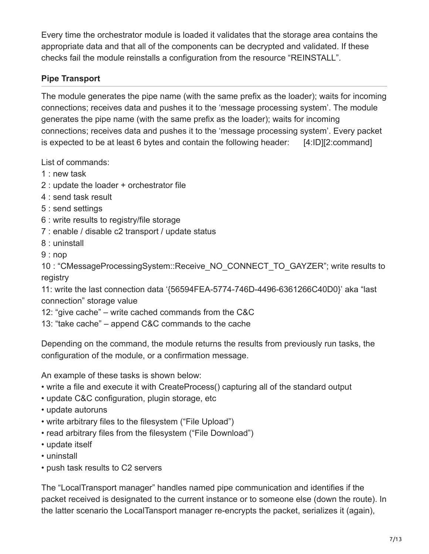Every time the orchestrator module is loaded it validates that the storage area contains the appropriate data and that all of the components can be decrypted and validated. If these checks fail the module reinstalls a configuration from the resource "REINSTALL".

#### **Pipe Transport**

The module generates the pipe name (with the same prefix as the loader); waits for incoming connections; receives data and pushes it to the 'message processing system'. The module generates the pipe name (with the same prefix as the loader); waits for incoming connections; receives data and pushes it to the 'message processing system'. Every packet is expected to be at least 6 bytes and contain the following header:  $[4:1D][2:command]$ 

List of commands:

- 1 : new task
- 2 : update the loader + orchestrator file
- 4 : send task result
- 5 : send settings
- 6 : write results to registry/file storage
- 7 : enable / disable c2 transport / update status
- 8 : uninstall
- 9 : nop

10 : "CMessageProcessingSystem::Receive\_NO\_CONNECT\_TO\_GAYZER"; write results to registry

11: write the last connection data '{56594FEA-5774-746D-4496-6361266C40D0}' aka "last connection" storage value

- 12: "give cache" write cached commands from the C&C
- 13: "take cache" append C&C commands to the cache

Depending on the command, the module returns the results from previously run tasks, the configuration of the module, or a confirmation message.

An example of these tasks is shown below:

- write a file and execute it with CreateProcess() capturing all of the standard output
- update C&C configuration, plugin storage, etc
- update autoruns
- write arbitrary files to the filesystem ("File Upload")
- read arbitrary files from the filesystem ("File Download")
- update itself
- uninstall
- push task results to C2 servers

The "LocalTransport manager" handles named pipe communication and identifies if the packet received is designated to the current instance or to someone else (down the route). In the latter scenario the LocalTansport manager re-encrypts the packet, serializes it (again),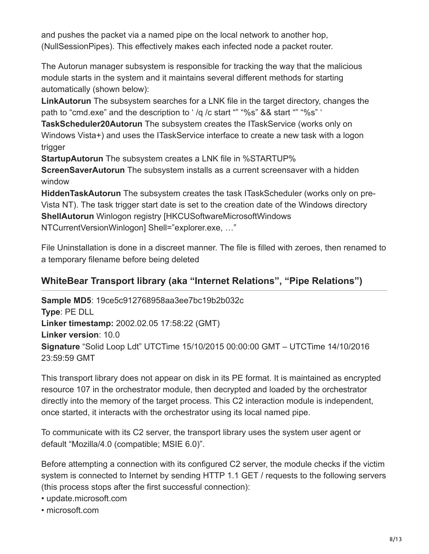and pushes the packet via a named pipe on the local network to another hop, (NullSessionPipes). This effectively makes each infected node a packet router.

The Autorun manager subsystem is responsible for tracking the way that the malicious module starts in the system and it maintains several different methods for starting automatically (shown below):

**LinkAutorun** The subsystem searches for a LNK file in the target directory, changes the path to "cmd.exe" and the description to ' /q /c start "" "%s" && start "" "%s" '

**TaskScheduler20Autorun** The subsystem creates the ITaskService (works only on Windows Vista+) and uses the ITaskService interface to create a new task with a logon trigger

**StartupAutorun** The subsystem creates a LNK file in %STARTUP%

**ScreenSaverAutorun** The subsystem installs as a current screensaver with a hidden window

**HiddenTaskAutorun** The subsystem creates the task ITaskScheduler (works only on pre-Vista NT). The task trigger start date is set to the creation date of the Windows directory **ShellAutorun** Winlogon registry [HKCUSoftwareMicrosoftWindows NTCurrentVersionWinlogon] Shell="explorer.exe, …"

File Uninstallation is done in a discreet manner. The file is filled with zeroes, then renamed to a temporary filename before being deleted

### **WhiteBear Transport library (aka "Internet Relations", "Pipe Relations")**

**Sample MD5**: 19ce5c912768958aa3ee7bc19b2b032c **Type**: PE DLL **Linker timestamp:** 2002.02.05 17:58:22 (GMT) **Linker version**: 10.0 **Signature** "Solid Loop Ldt" UTCTime 15/10/2015 00:00:00 GMT – UTCTime 14/10/2016 23:59:59 GMT

This transport library does not appear on disk in its PE format. It is maintained as encrypted resource 107 in the orchestrator module, then decrypted and loaded by the orchestrator directly into the memory of the target process. This C2 interaction module is independent, once started, it interacts with the orchestrator using its local named pipe.

To communicate with its C2 server, the transport library uses the system user agent or default "Mozilla/4.0 (compatible; MSIE 6.0)".

Before attempting a connection with its configured C2 server, the module checks if the victim system is connected to Internet by sending HTTP 1.1 GET / requests to the following servers (this process stops after the first successful connection):

- update.microsoft.com
- microsoft.com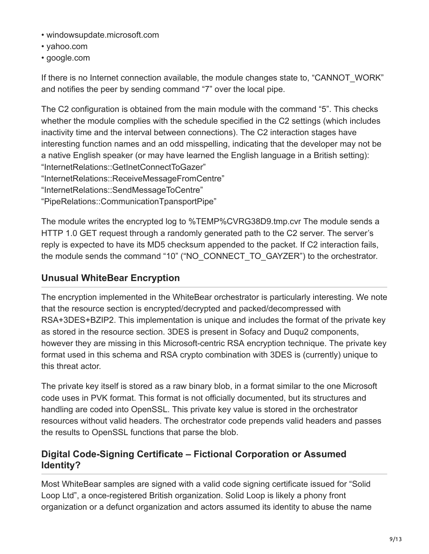- windowsupdate.microsoft.com
- yahoo.com
- google.com

If there is no Internet connection available, the module changes state to, "CANNOT\_WORK" and notifies the peer by sending command "7" over the local pipe.

The C2 configuration is obtained from the main module with the command "5". This checks whether the module complies with the schedule specified in the C2 settings (which includes inactivity time and the interval between connections). The C2 interaction stages have interesting function names and an odd misspelling, indicating that the developer may not be a native English speaker (or may have learned the English language in a British setting): "InternetRelations::GetInetConnectToGazer" "InternetRelations::ReceiveMessageFromCentre" "InternetRelations::SendMessageToCentre"

"PipeRelations::CommunicationTpansportPipe"

The module writes the encrypted log to %TEMP%CVRG38D9.tmp.cvr The module sends a HTTP 1.0 GET request through a randomly generated path to the C2 server. The server's reply is expected to have its MD5 checksum appended to the packet. If C2 interaction fails, the module sends the command "10" ("NO\_CONNECT\_TO\_GAYZER") to the orchestrator.

### **Unusual WhiteBear Encryption**

The encryption implemented in the WhiteBear orchestrator is particularly interesting. We note that the resource section is encrypted/decrypted and packed/decompressed with RSA+3DES+BZIP2. This implementation is unique and includes the format of the private key as stored in the resource section. 3DES is present in Sofacy and Duqu2 components, however they are missing in this Microsoft-centric RSA encryption technique. The private key format used in this schema and RSA crypto combination with 3DES is (currently) unique to this threat actor.

The private key itself is stored as a raw binary blob, in a format similar to the one Microsoft code uses in PVK format. This format is not officially documented, but its structures and handling are coded into OpenSSL. This private key value is stored in the orchestrator resources without valid headers. The orchestrator code prepends valid headers and passes the results to OpenSSL functions that parse the blob.

### **Digital Code-Signing Certificate – Fictional Corporation or Assumed Identity?**

Most WhiteBear samples are signed with a valid code signing certificate issued for "Solid Loop Ltd", a once-registered British organization. Solid Loop is likely a phony front organization or a defunct organization and actors assumed its identity to abuse the name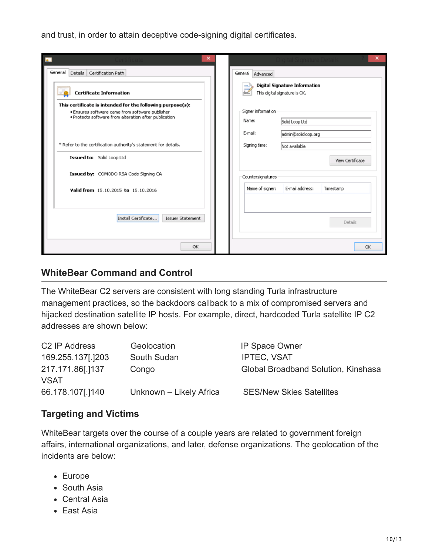and trust, in order to attain deceptive code-signing digital certificates.

| $\overline{\phantom{a}}$<br>×                                                                                                                                          | ×                                                                               |
|------------------------------------------------------------------------------------------------------------------------------------------------------------------------|---------------------------------------------------------------------------------|
| General<br>Details   Certification Path                                                                                                                                | General Advanced                                                                |
| $\overline{\phantom{a}}$<br><b>Certificate Information</b>                                                                                                             | <b>Digital Signature Information</b><br>This digital signature is OK.           |
| This certificate is intended for the following purpose(s):<br>. Ensures software came from software publisher<br>. Protects software from alteration after publication | Signer information<br>Name:<br>Solid Loop Ltd<br>E-mail:<br>admin@solidloop.org |
| * Refer to the certification authority's statement for details.                                                                                                        | Signing time:<br>Not available                                                  |
| Issued to: Solid Loop Ltd                                                                                                                                              | View Certificate                                                                |
| Issued by: COMODO RSA Code Signing CA                                                                                                                                  | Countersignatures                                                               |
| Valid from 15.10.2015 to 15.10.2016                                                                                                                                    | Name of signer:<br>E-mail address:<br>Timestamp                                 |
| Install Certificate<br>Issuer Statement                                                                                                                                | Details                                                                         |
| OK                                                                                                                                                                     | OK                                                                              |

#### **WhiteBear Command and Control**

The WhiteBear C2 servers are consistent with long standing Turla infrastructure management practices, so the backdoors callback to a mix of compromised servers and hijacked destination satellite IP hosts. For example, direct, hardcoded Turla satellite IP C2 addresses are shown below:

| C <sub>2</sub> IP Address | Geolocation             | <b>IP Space Owner</b>               |
|---------------------------|-------------------------|-------------------------------------|
| 169.255.137[.]203         | South Sudan             | <b>IPTEC, VSAT</b>                  |
| 217.171.86[.]137          | Congo                   | Global Broadband Solution, Kinshasa |
| <b>VSAT</b>               |                         |                                     |
| 66.178.107[.]140          | Unknown - Likely Africa | <b>SES/New Skies Satellites</b>     |

#### **Targeting and Victims**

WhiteBear targets over the course of a couple years are related to government foreign affairs, international organizations, and later, defense organizations. The geolocation of the incidents are below:

- Europe
- South Asia
- Central Asia
- East Asia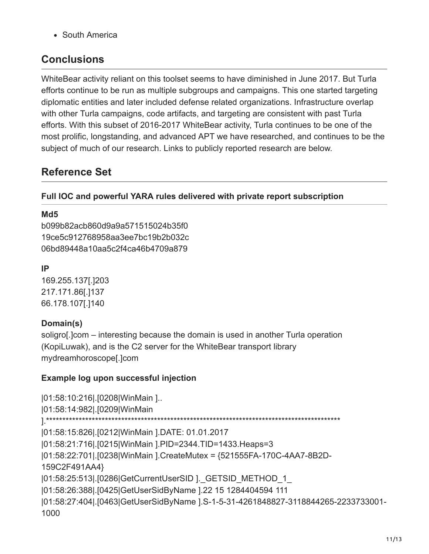South America

## **Conclusions**

WhiteBear activity reliant on this toolset seems to have diminished in June 2017. But Turla efforts continue to be run as multiple subgroups and campaigns. This one started targeting diplomatic entities and later included defense related organizations. Infrastructure overlap with other Turla campaigns, code artifacts, and targeting are consistent with past Turla efforts. With this subset of 2016-2017 WhiteBear activity, Turla continues to be one of the most prolific, longstanding, and advanced APT we have researched, and continues to be the subject of much of our research. Links to publicly reported research are below.

# **Reference Set**

#### **Full IOC and powerful YARA rules delivered with private report subscription**

#### **Md5**

b099b82acb860d9a9a571515024b35f0 19ce5c912768958aa3ee7bc19b2b032c 06bd89448a10aa5c2f4ca46b4709a879

#### **IP**

169.255.137[.]203 217.171.86[.]137 66.178.107[.]140

#### **Domain(s)**

soligro[.]com – interesting because the domain is used in another Turla operation (KopiLuwak), and is the C2 server for the WhiteBear transport library mydreamhoroscope[.]com

#### **Example log upon successful injection**

|01:58:10:216|.[0208|WinMain ].. |01:58:14:982|.[0209|WinMain ].\*\*\*\*\*\*\*\*\*\*\*\*\*\*\*\*\*\*\*\*\*\*\*\*\*\*\*\*\*\*\*\*\*\*\*\*\*\*\*\*\*\*\*\*\*\*\*\*\*\*\*\*\*\*\*\*\*\*\*\*\*\*\*\*\*\*\*\*\*\*\*\*\*\*\*\*\*\*\*\*\*\*\*\*\*\*\*\*\*\* |01:58:15:826|.[0212|WinMain ].DATE: 01.01.2017 |01:58:21:716|.[0215|WinMain ].PID=2344.TID=1433.Heaps=3 |01:58:22:701|.[0238|WinMain ].CreateMutex = {521555FA-170C-4AA7-8B2D-159C2F491AA4} |01:58:25:513|.[0286|GetCurrentUserSID ].\_GETSID\_METHOD\_1\_ |01:58:26:388|.[0425|GetUserSidByName ].22 15 1284404594 111 |01:58:27:404|.[0463|GetUserSidByName ].S-1-5-31-4261848827-3118844265-2233733001- 1000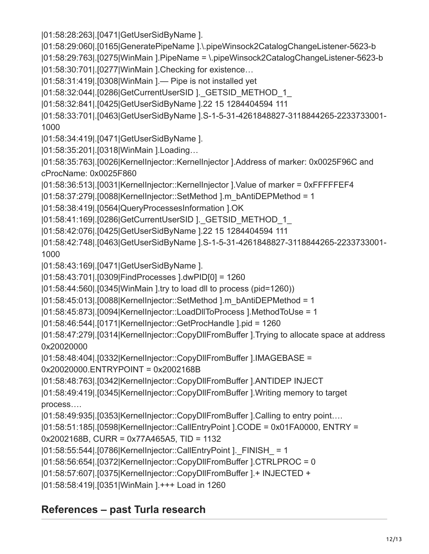|01:58:28:263|.[0471|GetUserSidByName ].

- |01:58:29:060|.[0165|GeneratePipeName ].\.pipeWinsock2CatalogChangeListener-5623-b
- |01:58:29:763|.[0275|WinMain ].PipeName = \.pipeWinsock2CatalogChangeListener-5623-b
- |01:58:30:701|.[0277|WinMain ].Checking for existence…
- |01:58:31:419|.[0308|WinMain ].— Pipe is not installed yet
- |01:58:32:044|.[0286|GetCurrentUserSID ].\_GETSID\_METHOD\_1\_
- |01:58:32:841|.[0425|GetUserSidByName ].22 15 1284404594 111

|01:58:33:701|.[0463|GetUserSidByName ].S-1-5-31-4261848827-3118844265-2233733001- 1000

- |01:58:34:419|.[0471|GetUserSidByName ].
- |01:58:35:201|.[0318|WinMain ].Loading…

|01:58:35:763|.[0026|KernelInjector::KernelInjector ].Address of marker: 0x0025F96C and cProcName: 0x0025F860

- |01:58:36:513|.[0031|KernelInjector::KernelInjector ].Value of marker = 0xFFFFFEF4
- |01:58:37:279|.[0088|KernelInjector::SetMethod ].m\_bAntiDEPMethod = 1
- |01:58:38:419|.[0564|QueryProcessesInformation ].OK
- |01:58:41:169|.[0286|GetCurrentUserSID ].\_GETSID\_METHOD\_1\_
- |01:58:42:076|.[0425|GetUserSidByName ].22 15 1284404594 111
- |01:58:42:748|.[0463|GetUserSidByName ].S-1-5-31-4261848827-3118844265-2233733001- 1000
- |01:58:43:169|.[0471|GetUserSidByName ].
- |01:58:43:701|.[0309|FindProcesses ].dwPID[0] = 1260
- |01:58:44:560|.[0345|WinMain ].try to load dll to process (pid=1260))
- |01:58:45:013|.[0088|KernelInjector::SetMethod ].m\_bAntiDEPMethod = 1
- |01:58:45:873|.[0094|KernelInjector::LoadDllToProcess ].MethodToUse = 1
- |01:58:46:544|.[0171|KernelInjector::GetProcHandle ].pid = 1260
- |01:58:47:279|.[0314|KernelInjector::CopyDllFromBuffer ].Trying to allocate space at address 0x20020000
- |01:58:48:404|.[0332|KernelInjector::CopyDllFromBuffer ].IMAGEBASE =
- 0x20020000.ENTRYPOINT = 0x2002168B
- |01:58:48:763|.[0342|KernelInjector::CopyDllFromBuffer ].ANTIDEP INJECT

|01:58:49:419|.[0345|KernelInjector::CopyDllFromBuffer ].Writing memory to target process….

- |01:58:49:935|.[0353|KernelInjector::CopyDllFromBuffer ].Calling to entry point….
- |01:58:51:185|.[0598|KernelInjector::CallEntryPoint ].CODE = 0x01FA0000, ENTRY =
- 0x2002168B, CURR = 0x77A465A5, TID = 1132
- |01:58:55:544|.[0786|KernelInjector::CallEntryPoint ].\_FINISH\_ = 1
- |01:58:56:654|.[0372|KernelInjector::CopyDllFromBuffer ].CTRLPROC = 0
- |01:58:57:607|.[0375|KernelInjector::CopyDllFromBuffer ].+ INJECTED +
- |01:58:58:419|.[0351|WinMain ].+++ Load in 1260

# **References – past Turla research**